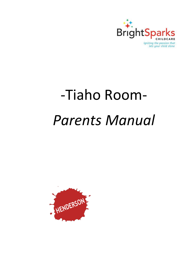

# -Tiaho Room-*Parents Manual*

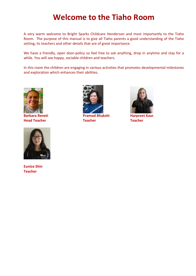#### **Welcome to the Tiaho Room**

A very warm welcome to Bright Sparks Childcare Henderson and most importantly to the Tiaho Room. The purpose of this manual is to give all Tiaho parents a good understanding of the Tiaho setting, its teachers and other details that are of great importance.

We have a friendly, open door-policy so feel free to ask anything, drop in anytime and stay for a while. You will see happy, sociable children and teachers.

In this room the children are engaging in various activities that promotes developmental milestones and exploration which enhances their abilities.





**Eunice Shin Teacher**



**Barbara Reneti Pramod Bhakshi Harpreet Kaur Head Teacher Teacher Teacher**

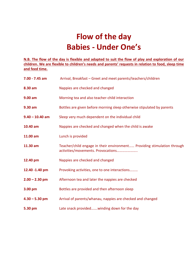# **Flow of the day Babies - Under One's**

**N.B. The flow of the day is flexible and adapted to suit the flow of play and exploration of our children. We are flexible to children's needs and parents' requests in relation to food, sleep time and feed time.**

| $7.00 - 7.45$ am  | Arrival, Breakfast - Greet and meet parents/teachers/children                                                 |
|-------------------|---------------------------------------------------------------------------------------------------------------|
| 8.30 am           | Nappies are checked and changed                                                                               |
| 9.00 am           | Morning tea and also teacher-child interaction                                                                |
| 9.30 am           | Bottles are given before morning sleep otherwise stipulated by parents                                        |
| $9.40 - 10.40$ am | Sleep very much dependent on the individual child                                                             |
| 10.40 am          | Nappies are checked and changed when the child is awake                                                       |
| 11.00 am          | Lunch is provided                                                                                             |
| 11.30 am          | Teacher/child engage in their environment Providing stimulation through<br>activities/movements. Provocations |
| 12.40 pm          | Nappies are checked and changed                                                                               |
| 12.40 -1.40 pm    | Provoking activities, one to one interactions                                                                 |
| $2.00 - 2.30$ pm  | Afternoon tea and later the nappies are checked                                                               |
| 3.00 pm           | Bottles are provided and then afternoon sleep                                                                 |
| $4.30 - 5.30$ pm  | Arrival of parents/whanau, nappies are checked and changed                                                    |
| 5.30 pm           | Late snack providedwinding down for the day                                                                   |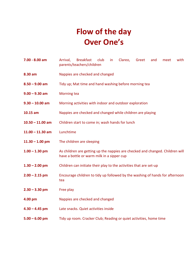# **Flow of the day Over One's**

- **7.00 - 8.00 am** Arrival, Breakfast club in Clareo, Greet and meet with parents/teachers/children
- **8.30 am** Nappies are checked and changed
- **8.50 – 9.00 am** Tidy up; Mat time and hand washing before morning tea
- **9.00 – 9.30 am** Morning tea
- **9.30 – 10.00 am** Morning activities with indoor and outdoor exploration
- **10.15 am** Nappies are checked and changed while children are playing
- **10.50 – 11.00 am** Children start to come in; wash hands for lunch
- **11.00 – 11.30 am** Lunchtime
- **11.30 – 1.00 pm** The children are sleeping
- **1.00 – 1.30 pm** As children are getting up the nappies are checked and changed. Children will have a bottle or warm milk in a sipper cup
- **1.30 – 2.00 pm** Children can initiate their play to the activities that are set-up
- **2.00 – 2.15 pm** Encourage children to tidy up followed by the washing of hands for afternoon tea
- **2.30 – 3.30 pm** Free play
- **4.00 pm** Nappies are checked and changed
- **4.30 – 4.45 pm** Late snacks. Quiet activities inside
- **5.00 – 6.00 pm** Tidy up room. Cracker Club; Reading or quiet activities, home time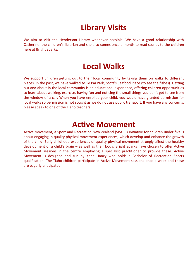## **Library Visits**

We aim to visit the Henderson Library whenever possible. We have a good relationship with Catherine, the children's librarian and she also comes once a month to read stories to the children here at Bright Sparks.

#### **Local Walks**

We support children getting out to their local community by taking them on walks to different places. In the past, we have walked to Te Pai Park, Scott's Seafood Place (to see the fishes). Getting out and about in the local community is an educational experience, offering children opportunities to learn about walking, exercise, having fun and noticing the small things you don't get to see from the window of a car. When you have enrolled your child, you would have granted permission for local walks so permission is not sought as we do not use public transport. If you have any concerns, please speak to one of the Tiaho teachers.

#### **Active Movement**

Active movement, a Sport and Recreation New Zealand (SPARC) initiative for children under five is about engaging in quality physical movement experiences, which develop and enhance the growth of the child. Early childhood experiences of quality physical movement strongly affect the healthy development of a child's brain – as well as their body. Bright Sparks have chosen to offer Active Movement sessions in the centre employing a specialist practitioner to provide these. Active Movement is designed and run by Kane Hancy who holds a Bachelor of Recreation Sports qualification. The Tiaho children participate in Active Movement sessions once a week and these are eagerly anticipated.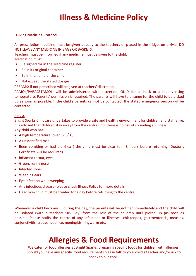# **Illness & Medicine Policy**

#### **Giving Medicine Protocol:**

All prescription medicine must be given directly to the teachers or placed in the fridge, on arrival. DO NOT LEAVE ANY MEDICINE IN BAGS OR BASKETS.

Teachers must be informed if any medicine must be given to the child.

Medication must:

- Be signed for in the Medicine register
- Be in its original container
- Be in the name of the child
- Not exceed the stated dosage

CREAMS: if not prescribed will be given at teachers' discretion.

PAMOL/PARACETAMOL: will be administered with discretion, ONLY for a shock or a rapidly rising temperature. Parents' permission is required. The parents will have to arrange for the child to be picked up as soon as possible. If the child's parents cannot be contacted, the stated emergency person will be contacted.

#### **Illness**

Bright Sparks Childcare undertakes to provide a safe and healthy environment for children and staff alike. It is advised that children stay away from the centre until there is no risk of spreading an illness. Any child who has:

- A high temperature (over  $37.5^{\circ}$  C)
- A unidentified rash
- Been vomiting or had diarrhea ( the child must be clear for 48 hours before returning- Doctor's Certificate will be required)
- Inflamed throat, eyes
- Green, runny nose
- Infected sores
- Weeping ears
- Eye infection while weeping
- Any infectious disease- please check Illness Policy for more details
- Head lice- child must be treated for a day before returning to the centre.

Whenever a child becomes ill during the day, the parents will be notified immediately and the child will be isolated (with a teacher/ Sick Bay) from the rest of the children until picked up (as soon as possible).Please notify the centre of any infections or illnesses: chickenpox, gastroenteritis, measles, conjunctivitis, croup, head lice, meningitis, ringworm etc.

### **Allergies & Food Requirements**

We cater for food allergies at Bright Sparks, preparing specific foods for children with allergies. Should you have any specific food requirements please talk to your child's teacher and/or ask to speak to our cook.